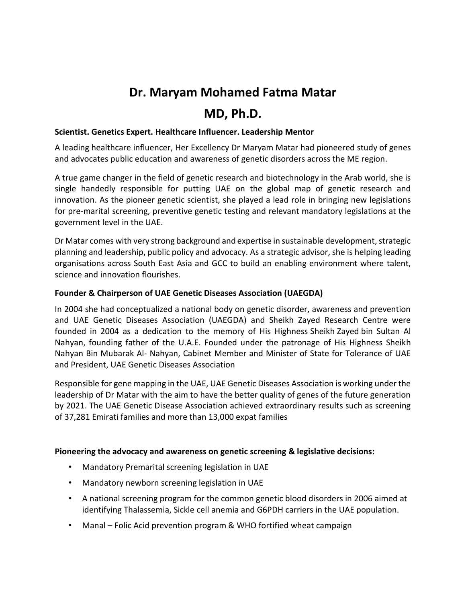# **Dr. Maryam Mohamed Fatma Matar**

# **MD, Ph.D.**

## **Scientist. Genetics Expert. Healthcare Influencer. Leadership Mentor**

A leading healthcare influencer, Her Excellency Dr Maryam Matar had pioneered study of genes and advocates public education and awareness of genetic disorders across the ME region.

A true game changer in the field of genetic research and biotechnology in the Arab world, she is single handedly responsible for putting UAE on the global map of genetic research and innovation. As the pioneer genetic scientist, she played a lead role in bringing new legislations for pre-marital screening, preventive genetic testing and relevant mandatory legislations at the government level in the UAE.

Dr Matar comes with very strong background and expertise in sustainable development, strategic planning and leadership, public policy and advocacy. As a strategic advisor, she is helping leading organisations across South East Asia and GCC to build an enabling environment where talent, science and innovation flourishes.

# **Founder & Chairperson of UAE Genetic Diseases Association (UAEGDA)**

In 2004 she had conceptualized a national body on genetic disorder, awareness and prevention and UAE Genetic Diseases Association (UAEGDA) and Sheikh Zayed Research Centre were founded in 2004 as a dedication to the memory of His Highness Sheikh Zayed bin Sultan Al Nahyan, founding father of the U.A.E. Founded under the patronage of His Highness Sheikh Nahyan Bin Mubarak Al- Nahyan, Cabinet Member and Minister of State for Tolerance of UAE and President, UAE Genetic Diseases Association

Responsible for gene mapping in the UAE, UAE Genetic Diseases Association is working under the leadership of Dr Matar with the aim to have the better quality of genes of the future generation by 2021. The UAE Genetic Disease Association achieved extraordinary results such as screening of 37,281 Emirati families and more than 13,000 expat families

#### **Pioneering the advocacy and awareness on genetic screening & legislative decisions:**

- Mandatory Premarital screening legislation in UAE
- Mandatory newborn screening legislation in UAE
- A national screening program for the common genetic blood disorders in 2006 aimed at identifying Thalassemia, Sickle cell anemia and G6PDH carriers in the UAE population.
- Manal Folic Acid prevention program & WHO fortified wheat campaign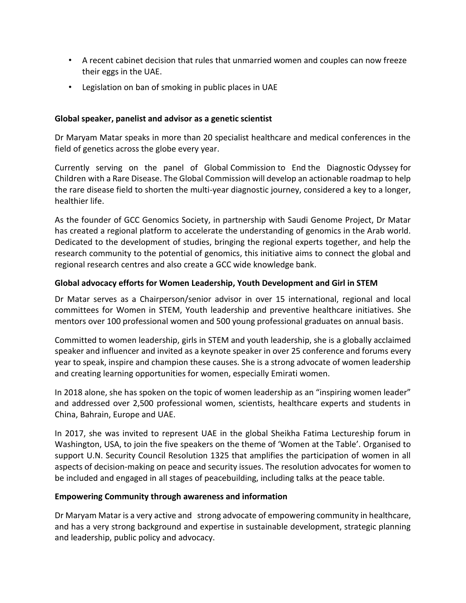- A recent cabinet decision that rules that unmarried women and couples can now freeze their eggs in the UAE.
- Legislation on ban of smoking in public places in UAE

## **Global speaker, panelist and advisor as a genetic scientist**

Dr Maryam Matar speaks in more than 20 specialist healthcare and medical conferences in the field of genetics across the globe every year.

Currently serving on the panel of Global Commission to End the Diagnostic Odyssey for Children with a Rare Disease. The Global Commission will develop an actionable roadmap to help the rare disease field to shorten the multi-year diagnostic journey, considered a key to a longer, healthier life.

As the founder of GCC Genomics Society, in partnership with Saudi Genome Project, Dr Matar has created a regional platform to accelerate the understanding of genomics in the Arab world. Dedicated to the development of studies, bringing the regional experts together, and help the research community to the potential of genomics, this initiative aims to connect the global and regional research centres and also create a GCC wide knowledge bank.

# **Global advocacy efforts for Women Leadership, Youth Development and Girl in STEM**

Dr Matar serves as a Chairperson/senior advisor in over 15 international, regional and local committees for Women in STEM, Youth leadership and preventive healthcare initiatives. She mentors over 100 professional women and 500 young professional graduates on annual basis.

Committed to women leadership, girls in STEM and youth leadership, she is a globally acclaimed speaker and influencer and invited as a keynote speaker in over 25 conference and forums every year to speak, inspire and champion these causes. She is a strong advocate of women leadership and creating learning opportunities for women, especially Emirati women.

In 2018 alone, she has spoken on the topic of women leadership as an "inspiring women leader" and addressed over 2,500 professional women, scientists, healthcare experts and students in China, Bahrain, Europe and UAE.

In 2017, she was invited to represent UAE in the global Sheikha Fatima Lectureship forum in Washington, USA, to join the five speakers on the theme of 'Women at the Table'. Organised to support U.N. Security Council Resolution 1325 that amplifies the participation of women in all aspects of decision-making on peace and security issues. The resolution advocates for women to be included and engaged in all stages of peacebuilding, including talks at the peace table.

#### **Empowering Community through awareness and information**

Dr Maryam Matar is a very active and strong advocate of empowering community in healthcare, and has a very strong background and expertise in sustainable development, strategic planning and leadership, public policy and advocacy.